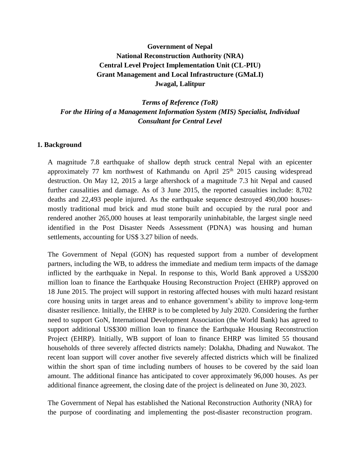# **Government of Nepal National Reconstruction Authority (NRA) Central Level Project Implementation Unit (CL-PIU) Grant Management and Local Infrastructure (GMaLI) Jwagal, Lalitpur**

*Terms of Reference (ToR) For the Hiring of a Management Information System (MIS) Specialist, Individual Consultant for Central Level*

#### **1. Background**

A magnitude 7.8 earthquake of shallow depth struck central Nepal with an epicenter approximately 77 km northwest of Kathmandu on April  $25<sup>th</sup>$  2015 causing widespread destruction. On May 12, 2015 a large aftershock of a magnitude 7.3 hit Nepal and caused further causalities and damage. As of 3 June 2015, the reported casualties include: 8,702 deaths and 22,493 people injured. As the earthquake sequence destroyed 490,000 housesmostly traditional mud brick and mud stone built and occupied by the rural poor and rendered another 265,000 houses at least temporarily uninhabitable, the largest single need identified in the Post Disaster Needs Assessment (PDNA) was housing and human settlements, accounting for US\$ 3.27 bilion of needs.

The Government of Nepal (GON) has requested support from a number of development partners, including the WB, to address the immediate and medium term impacts of the damage inflicted by the earthquake in Nepal. In response to this, World Bank approved a US\$200 million loan to finance the Earthquake Housing Reconstruction Project (EHRP) approved on 18 June 2015. The project will support in restoring affected houses with multi hazard resistant core housing units in target areas and to enhance government's ability to improve long-term disaster resilience. Initially, the EHRP is to be completed by July 2020. Considering the further need to support GoN, International Development Association (the World Bank) has agreed to support additional US\$300 million loan to finance the Earthquake Housing Reconstruction Project (EHRP). Initially, WB support of loan to finance EHRP was limited 55 thousand households of three severely affected districts namely: Dolakha, Dhading and Nuwakot. The recent loan support will cover another five severely affected districts which will be finalized within the short span of time including numbers of houses to be covered by the said loan amount. The additional finance has anticipated to cover approximately 96,000 houses. As per additional finance agreement, the closing date of the project is delineated on June 30, 2023.

The Government of Nepal has established the National Reconstruction Authority (NRA) for the purpose of coordinating and implementing the post-disaster reconstruction program.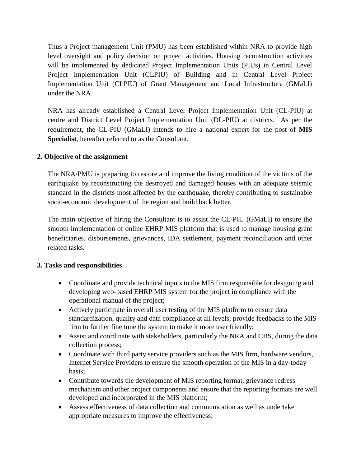Thus a Project management Unit (PMU) has been established within NRA to provide high level oversight and policy decision on project activities. Housing reconstruction activities will be implemented by dedicated Project Implementation Units (PIUs) in Central Level Project Implementation Unit (CLPIU) of Building and in Central Level Project Implementation Unit (CLPIU) of Grant Management and Local Infrastructure (GMaLI) under the NRA.

NRA has already established a Central Level Project Implementation Unit (CL-PIU) at centre and District Level Project Implementation Unit (DL-PIU) at districts. As per the requirement, the CL-PIU (GMaLI) intends to hire a national expert for the post of **MIS Specialist**, hereafter referred to as the Consultant.

# **2. Objective of the assignment**

The NRA/PMU is preparing to restore and improve the living condition of the victims of the earthquake by reconstructing the destroyed and damaged houses with an adequate seismic standard in the districts most affected by the earthquake, thereby contributing to sustainable socio-economic development of the region and build back better.

The main objective of hiring the Consultant is to assist the CL-PIU (GMaLI) to ensure the smooth implementation of online EHRP MIS platform that is used to manage housing grant beneficiaries, disbursements, grievances, IDA settlement, payment reconciliation and other related tasks.

#### **3. Tasks and responsibilities**

- Coordinate and provide technical inputs to the MIS firm responsible for designing and developing web-based EHRP MIS system for the project in compliance with the operational manual of the project;
- Actively participate in overall user testing of the MIS platform to ensure data standardization, quality and data compliance at all levels; provide feedbacks to the MIS firm to further fine tune the system to make it more user friendly;
- Assist and coordinate with stakeholders, particularly the NRA and CBS, during the data collection process;
- Coordinate with third party service providers such as the MIS firm, hardware vendors, Internet Service Providers to ensure the smooth operation of the MIS in a day-today basis;
- Contribute towards the development of MIS reporting format, grievance redress mechanism and other project components and ensure that the reporting formats are well developed and incorporated in the MIS platform;
- Assess effectiveness of data collection and communication as well as undertake appropriate measures to improve the effectiveness;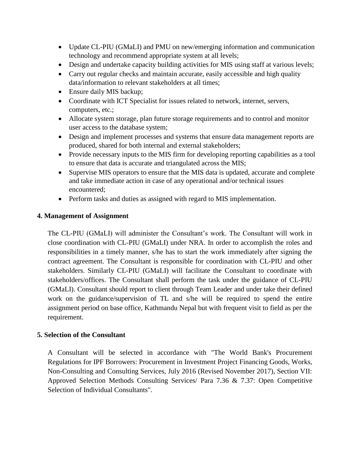- Update CL-PIU (GMaLI) and PMU on new/emerging information and communication technology and recommend appropriate system at all levels;
- Design and undertake capacity building activities for MIS using staff at various levels;
- Carry out regular checks and maintain accurate, easily accessible and high quality data/information to relevant stakeholders at all times;
- Ensure daily MIS backup;
- Coordinate with ICT Specialist for issues related to network, internet, servers, computers, etc.;
- Allocate system storage, plan future storage requirements and to control and monitor user access to the database system;
- Design and implement processes and systems that ensure data management reports are produced, shared for both internal and external stakeholders;
- Provide necessary inputs to the MIS firm for developing reporting capabilities as a tool to ensure that data is accurate and triangulated across the MIS;
- Supervise MIS operators to ensure that the MIS data is updated, accurate and complete and take immediate action in case of any operational and/or technical issues encountered;
- Perform tasks and duties as assigned with regard to MIS implementation.

# **4. Management of Assignment**

The CL-PIU (GMaLI) will administer the Consultant's work. The Consultant will work in close coordination with CL-PIU (GMaLI) under NRA. In order to accomplish the roles and responsibilities in a timely manner, s/he has to start the work immediately after signing the contract agreement. The Consultant is responsible for coordination with CL-PIU and other stakeholders. Similarly CL-PIU (GMaLI) will facilitate the Consultant to coordinate with stakeholders/offices. The Consultant shall perform the task under the guidance of CL-PIU (GMaLI). Consultant should report to client through Team Leader and under take their defined work on the guidance/supervision of TL and s/he will be required to spend the entire assignment period on base office, Kathmandu Nepal but with frequent visit to field as per the requirement.

# **5. Selection of the Consultant**

A Consultant will be selected in accordance with "The World Bank's Procurement Regulations for IPF Borrowers: Procurement in Investment Project Financing Goods, Works, Non-Consulting and Consulting Services, July 2016 (Revised November 2017), Section VII: Approved Selection Methods Consulting Services/ Para 7.36 & 7.37: Open Competitive Selection of Individual Consultants".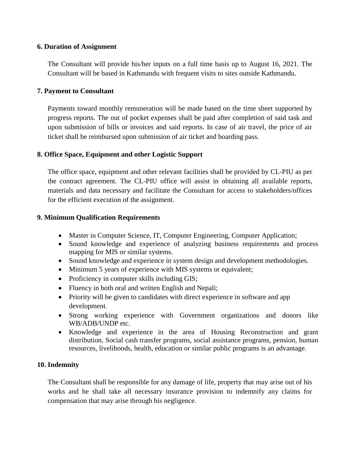#### **6. Duration of Assignment**

The Consultant will provide his/her inputs on a full time basis up to August 16, 2021. The Consultant will be based in Kathmandu with frequent visits to sites outside Kathmandu.

#### **7. Payment to Consultant**

Payments toward monthly remuneration will be made based on the time sheet supported by progress reports. The out of pocket expenses shall be paid after completion of said task and upon submission of bills or invoices and said reports. In case of air travel, the price of air ticket shall be reimbursed upon submission of air ticket and boarding pass.

# **8. Office Space, Equipment and other Logistic Support**

The office space, equipment and other relevant facilities shall be provided by CL-PIU as per the contract agreement. The CL-PIU office will assist in obtaining all available reports, materials and data necessary and facilitate the Consultant for access to stakeholders/offices for the efficient execution of the assignment.

#### **9. Minimum Qualification Requirements**

- Master in Computer Science, IT, Computer Engineering, Computer Application;
- Sound knowledge and experience of analyzing business requirements and process mapping for MIS or similar systems.
- Sound knowledge and experience in system design and development methodologies.
- Minimum 5 years of experience with MIS systems or equivalent;
- Proficiency in computer skills including GIS;
- Fluency in both oral and written English and Nepali;
- Priority will be given to candidates with direct experience in software and app development.
- Strong working experience with Government organizations and donors like WB/ADB/UNDP etc.
- Knowledge and experience in the area of Housing Reconstruction and grant distribution, Social cash transfer programs, social assistance programs, pension, human resources, livelihoods, health, education or similar public programs is an advantage.

# **10. Indemnity**

The Consultant shall be responsible for any damage of life, property that may arise out of his works and he shall take all necessary insurance provision to indemnify any claims for compensation that may arise through his negligence.